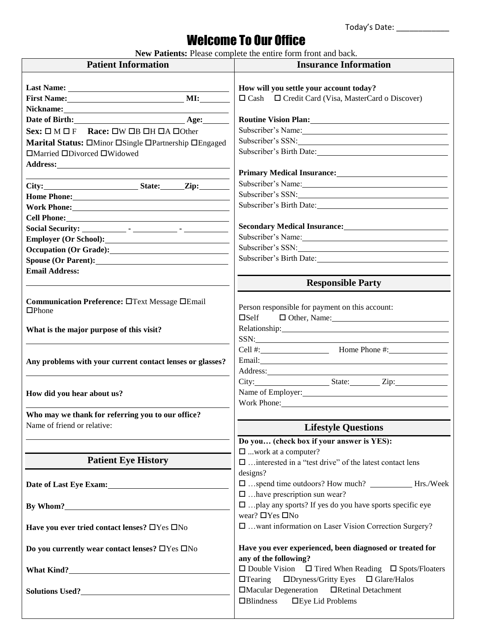Today's Date: \_\_\_\_\_\_\_\_\_\_\_\_

## Welcome To Our Office

**New Patients:** Please complete the entire form front and back.

| <b>Patient Information</b>                                                                                                                                                                                                                           | <b>Insurance Information</b>                                                                                                                                                                                                   |  |
|------------------------------------------------------------------------------------------------------------------------------------------------------------------------------------------------------------------------------------------------------|--------------------------------------------------------------------------------------------------------------------------------------------------------------------------------------------------------------------------------|--|
|                                                                                                                                                                                                                                                      |                                                                                                                                                                                                                                |  |
|                                                                                                                                                                                                                                                      | How will you settle your account today?                                                                                                                                                                                        |  |
|                                                                                                                                                                                                                                                      | $\Box$ Cash $\Box$ Credit Card (Visa, MasterCard o Discover)                                                                                                                                                                   |  |
| Nickname: Nickname and the state of the state of the state of the state of the state of the state of the state of the state of the state of the state of the state of the state of the state of the state of the state of the<br>Date of Birth: Age: |                                                                                                                                                                                                                                |  |
|                                                                                                                                                                                                                                                      | <b>Routine Vision Plan:</b> New York 1988.                                                                                                                                                                                     |  |
| Sex: $\square M \square F$ Race: $\square W \square B \square H \square A \square 0$ ther                                                                                                                                                            |                                                                                                                                                                                                                                |  |
| Marital Status: OMinor OSingle OPartnership OEngaged                                                                                                                                                                                                 | Subscriber's SSN:                                                                                                                                                                                                              |  |
| $\Box$ Married $\Box$ Divorced $\Box$ Widowed                                                                                                                                                                                                        | Subscriber's Birth Date:                                                                                                                                                                                                       |  |
|                                                                                                                                                                                                                                                      |                                                                                                                                                                                                                                |  |
|                                                                                                                                                                                                                                                      | Primary Medical Insurance: New York Changes and School and School and School and School and School and School and School and School and School and School and School and School and School and School and School and School an |  |
|                                                                                                                                                                                                                                                      | Subscriber's Name:                                                                                                                                                                                                             |  |
|                                                                                                                                                                                                                                                      | Subscriber's SSN:                                                                                                                                                                                                              |  |
| Work Phone: New York Discovery 2014                                                                                                                                                                                                                  | Subscriber's Birth Date:                                                                                                                                                                                                       |  |
|                                                                                                                                                                                                                                                      |                                                                                                                                                                                                                                |  |
|                                                                                                                                                                                                                                                      |                                                                                                                                                                                                                                |  |
| Employer (Or School):                                                                                                                                                                                                                                | Subscriber's Name: Manuel Allen Contains and Contains a subscriber's Name:                                                                                                                                                     |  |
| Occupation (Or Grade):                                                                                                                                                                                                                               |                                                                                                                                                                                                                                |  |
|                                                                                                                                                                                                                                                      | Subscriber's Birth Date:                                                                                                                                                                                                       |  |
| <b>Email Address:</b>                                                                                                                                                                                                                                |                                                                                                                                                                                                                                |  |
|                                                                                                                                                                                                                                                      | <b>Responsible Party</b>                                                                                                                                                                                                       |  |
|                                                                                                                                                                                                                                                      |                                                                                                                                                                                                                                |  |
| Communication Preference: OText Message OEmail                                                                                                                                                                                                       | Person responsible for payment on this account:                                                                                                                                                                                |  |
| $\Box$ Phone                                                                                                                                                                                                                                         | $\square$ Self<br>$\Box$ Other, Name:                                                                                                                                                                                          |  |
| What is the major purpose of this visit?                                                                                                                                                                                                             | Relationship: New York 1989                                                                                                                                                                                                    |  |
|                                                                                                                                                                                                                                                      | SSN:                                                                                                                                                                                                                           |  |
|                                                                                                                                                                                                                                                      | Cell #: $\qquad \qquad$ Home Phone #:                                                                                                                                                                                          |  |
| Any problems with your current contact lenses or glasses?                                                                                                                                                                                            | Email: <u>Alexander and Alexander and Alexander and Alexander and Alexander and Alexander and Alexander and Alex</u>                                                                                                           |  |
|                                                                                                                                                                                                                                                      | Address: No. 1996. The Committee of the Committee of the Committee of the Committee of the Committee of the Committee of the Committee of the Committee of the Committee of the Committee of the Committee of the Committee of |  |
|                                                                                                                                                                                                                                                      | City: State: Zip:                                                                                                                                                                                                              |  |
| How did you hear about us?                                                                                                                                                                                                                           | Name of Employer:                                                                                                                                                                                                              |  |
|                                                                                                                                                                                                                                                      | Work Phone: New York 2014                                                                                                                                                                                                      |  |
| Who may we thank for referring you to our office?                                                                                                                                                                                                    |                                                                                                                                                                                                                                |  |
| Name of friend or relative:                                                                                                                                                                                                                          | <b>Lifestyle Questions</b>                                                                                                                                                                                                     |  |
|                                                                                                                                                                                                                                                      |                                                                                                                                                                                                                                |  |
|                                                                                                                                                                                                                                                      | Do you (check box if your answer is YES):                                                                                                                                                                                      |  |
| <b>Patient Eye History</b>                                                                                                                                                                                                                           | $\square$ work at a computer?<br>$\Box$ interested in a "test drive" of the latest contact lens                                                                                                                                |  |
|                                                                                                                                                                                                                                                      | designs?                                                                                                                                                                                                                       |  |
|                                                                                                                                                                                                                                                      | □ spend time outdoors? How much? ___________Hrs./Week                                                                                                                                                                          |  |
| Date of Last Eye Exam:                                                                                                                                                                                                                               | $\square$ have prescription sun wear?                                                                                                                                                                                          |  |
|                                                                                                                                                                                                                                                      | $\square$ play any sports? If yes do you have sports specific eye                                                                                                                                                              |  |
| By Whom?                                                                                                                                                                                                                                             | wear? □Yes □No                                                                                                                                                                                                                 |  |
|                                                                                                                                                                                                                                                      | □ want information on Laser Vision Correction Surgery?                                                                                                                                                                         |  |
| Have you ever tried contact lenses? $\Box$ Yes $\Box$ No                                                                                                                                                                                             |                                                                                                                                                                                                                                |  |
|                                                                                                                                                                                                                                                      | Have you ever experienced, been diagnosed or treated for                                                                                                                                                                       |  |
| Do you currently wear contact lenses? $\Box$ Yes $\Box$ No                                                                                                                                                                                           |                                                                                                                                                                                                                                |  |
|                                                                                                                                                                                                                                                      | any of the following?                                                                                                                                                                                                          |  |
|                                                                                                                                                                                                                                                      | $\Box$ Double Vision $\Box$ Tired When Reading $\Box$ Spots/Floaters                                                                                                                                                           |  |
|                                                                                                                                                                                                                                                      | $\Box$ Tearing<br>$\Box$ Dryness/Gritty Eyes<br>$\Box$ Glare/Halos                                                                                                                                                             |  |
| Solutions Used?                                                                                                                                                                                                                                      | □Macular Degeneration □Retinal Detachment                                                                                                                                                                                      |  |
|                                                                                                                                                                                                                                                      | $\Box$ Blindness<br>$\Box$ Eye Lid Problems                                                                                                                                                                                    |  |
|                                                                                                                                                                                                                                                      |                                                                                                                                                                                                                                |  |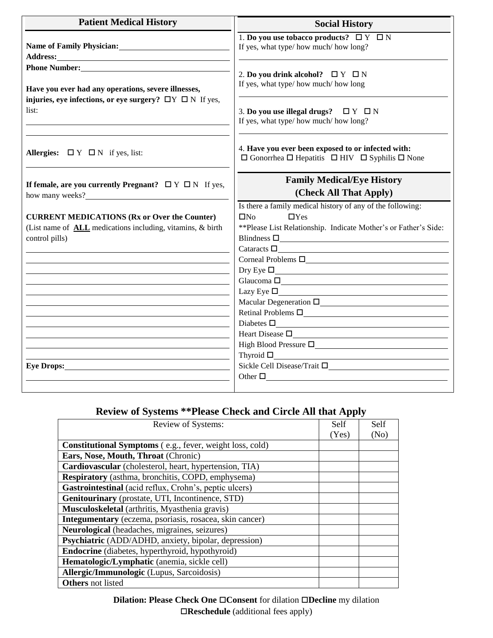| <b>Patient Medical History</b>                                                                                                                                                                                                 | <b>Social History</b>                                                                                                                                                                                                                                                                                                                                                                                                                                                                                                                                                                                                                                                      |
|--------------------------------------------------------------------------------------------------------------------------------------------------------------------------------------------------------------------------------|----------------------------------------------------------------------------------------------------------------------------------------------------------------------------------------------------------------------------------------------------------------------------------------------------------------------------------------------------------------------------------------------------------------------------------------------------------------------------------------------------------------------------------------------------------------------------------------------------------------------------------------------------------------------------|
| Address: Andreas Address: Address: Address: Address: Address: Address: Address: Address: Address: Address: Address: Address: Address: Address: Address: Address: Address: Address: Address: Address: Address: Address: Address | 1. Do you use tobacco products? $\Box Y \Box N$<br>If yes, what type/ how much/ how long?                                                                                                                                                                                                                                                                                                                                                                                                                                                                                                                                                                                  |
| Have you ever had any operations, severe illnesses,<br>injuries, eye infections, or eye surgery? $\Box Y \Box N$ If yes,<br>list:                                                                                              | 2. Do you drink alcohol? $\Box Y \Box N$<br>If yes, what type/ how much/ how long                                                                                                                                                                                                                                                                                                                                                                                                                                                                                                                                                                                          |
|                                                                                                                                                                                                                                | 3. Do you use illegal drugs? $\Box Y \Box N$<br>If yes, what type/how much/how long?                                                                                                                                                                                                                                                                                                                                                                                                                                                                                                                                                                                       |
| Allergies: $\Box Y \Box N$ if yes, list:                                                                                                                                                                                       | 4. Have you ever been exposed to or infected with:<br>$\Box$ Gonorrhea $\Box$ Hepatitis $\Box$ HIV $\Box$ Syphilis $\Box$ None                                                                                                                                                                                                                                                                                                                                                                                                                                                                                                                                             |
| If female, are you currently Pregnant? $\Box Y \Box N$ If yes,<br>how many weeks?<br><u> </u>                                                                                                                                  | <b>Family Medical/Eye History</b><br>(Check All That Apply)                                                                                                                                                                                                                                                                                                                                                                                                                                                                                                                                                                                                                |
|                                                                                                                                                                                                                                | Is there a family medical history of any of the following:                                                                                                                                                                                                                                                                                                                                                                                                                                                                                                                                                                                                                 |
| <b>CURRENT MEDICATIONS (Rx or Over the Counter)</b>                                                                                                                                                                            | $\square$ No<br>$\Box$ Yes                                                                                                                                                                                                                                                                                                                                                                                                                                                                                                                                                                                                                                                 |
| (List name of <b>ALL</b> medications including, vitamins, & birth                                                                                                                                                              | ** Please List Relationship. Indicate Mother's or Father's Side:                                                                                                                                                                                                                                                                                                                                                                                                                                                                                                                                                                                                           |
| control pills)                                                                                                                                                                                                                 | Blindness $\square$                                                                                                                                                                                                                                                                                                                                                                                                                                                                                                                                                                                                                                                        |
|                                                                                                                                                                                                                                | Cataracts $\Box$                                                                                                                                                                                                                                                                                                                                                                                                                                                                                                                                                                                                                                                           |
|                                                                                                                                                                                                                                | Corneal Problems $\square$                                                                                                                                                                                                                                                                                                                                                                                                                                                                                                                                                                                                                                                 |
|                                                                                                                                                                                                                                | $\Gamma$ Dry Eye $\Box$                                                                                                                                                                                                                                                                                                                                                                                                                                                                                                                                                                                                                                                    |
|                                                                                                                                                                                                                                | Glaucoma $\square$                                                                                                                                                                                                                                                                                                                                                                                                                                                                                                                                                                                                                                                         |
|                                                                                                                                                                                                                                | $\text{Lazy Eye } \square \textcolor{red}{\square} \textcolor{red}{\square} \textcolor{red}{\square} \textcolor{red}{\square} \textcolor{red}{\square} \textcolor{red}{\square} \textcolor{red}{\square} \textcolor{red}{\square} \textcolor{red}{\square} \textcolor{red}{\square} \textcolor{red}{\square} \textcolor{red}{\square} \textcolor{red}{\square} \textcolor{red}{\square} \textcolor{red}{\square} \textcolor{red}{\square} \textcolor{red}{\square} \textcolor{red}{\square} \textcolor{red}{\square} \textcolor{red}{\square} \textcolor{red}{\square} \textcolor{red}{\square} \textcolor{red}{\square} \textcolor{red$<br>Macular Degeneration $\square$ |
|                                                                                                                                                                                                                                | Retinal Problems $\square$                                                                                                                                                                                                                                                                                                                                                                                                                                                                                                                                                                                                                                                 |
|                                                                                                                                                                                                                                | Diabetes $\square$                                                                                                                                                                                                                                                                                                                                                                                                                                                                                                                                                                                                                                                         |
|                                                                                                                                                                                                                                | Heart Disease $\square$                                                                                                                                                                                                                                                                                                                                                                                                                                                                                                                                                                                                                                                    |
|                                                                                                                                                                                                                                | High Blood Pressure $\square$                                                                                                                                                                                                                                                                                                                                                                                                                                                                                                                                                                                                                                              |
|                                                                                                                                                                                                                                | $\begin{tabular}{c} \bf{Thyroid D} \end{tabular}$                                                                                                                                                                                                                                                                                                                                                                                                                                                                                                                                                                                                                          |
| Eye Drops: No. 1996. The Contract of the Contract of the Contract of the Contract of the Contract of the Contract of the Contract of the Contract of the Contract of the Contract of the Contract of the Contract of the Contr | Sickle Cell Disease/Trait $\square$                                                                                                                                                                                                                                                                                                                                                                                                                                                                                                                                                                                                                                        |
|                                                                                                                                                                                                                                | Other $\square$                                                                                                                                                                                                                                                                                                                                                                                                                                                                                                                                                                                                                                                            |
|                                                                                                                                                                                                                                |                                                                                                                                                                                                                                                                                                                                                                                                                                                                                                                                                                                                                                                                            |

## **Review of Systems \*\*Please Check and Circle All that Apply**

| Review of Systems:                                              | Self  | Self |
|-----------------------------------------------------------------|-------|------|
|                                                                 | (Yes) | (No) |
| <b>Constitutional Symptoms</b> (e.g., fever, weight loss, cold) |       |      |
| Ears, Nose, Mouth, Throat (Chronic)                             |       |      |
| Cardiovascular (cholesterol, heart, hypertension, TIA)          |       |      |
| <b>Respiratory</b> (asthma, bronchitis, COPD, emphysema)        |       |      |
| Gastrointestinal (acid reflux, Crohn's, peptic ulcers)          |       |      |
| Genitourinary (prostate, UTI, Incontinence, STD)                |       |      |
| Musculoskeletal (arthritis, Myasthenia gravis)                  |       |      |
| Integumentary (eczema, psoriasis, rosacea, skin cancer)         |       |      |
| Neurological (headaches, migraines, seizures)                   |       |      |
| Psychiatric (ADD/ADHD, anxiety, bipolar, depression)            |       |      |
| Endocrine (diabetes, hyperthyroid, hypothyroid)                 |       |      |
| Hematologic/Lymphatic (anemia, sickle cell)                     |       |      |
| <b>Allergic/Immunologic</b> (Lupus, Sarcoidosis)                |       |      |
| <b>Others</b> not listed                                        |       |      |

**Dilation: Please Check One Consent** for dilation **Decline** my dilation **Reschedule** (additional fees apply)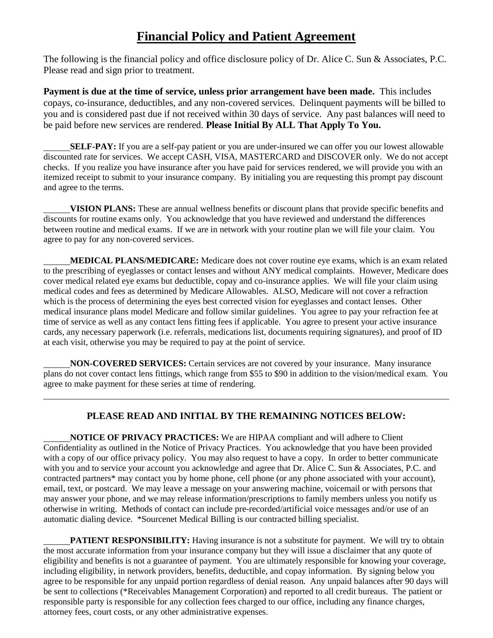## **Financial Policy and Patient Agreement**

The following is the financial policy and office disclosure policy of Dr. Alice C. Sun & Associates, P.C. Please read and sign prior to treatment.

**Payment is due at the time of service, unless prior arrangement have been made.** This includes copays, co-insurance, deductibles, and any non-covered services. Delinquent payments will be billed to you and is considered past due if not received within 30 days of service. Any past balances will need to be paid before new services are rendered. **Please Initial By ALL That Apply To You.**

 **SELF-PAY:** If you are a self-pay patient or you are under-insured we can offer you our lowest allowable discounted rate for services. We accept CASH, VISA, MASTERCARD and DISCOVER only. We do not accept checks. If you realize you have insurance after you have paid for services rendered, we will provide you with an itemized receipt to submit to your insurance company. By initialing you are requesting this prompt pay discount and agree to the terms.

 **VISION PLANS:** These are annual wellness benefits or discount plans that provide specific benefits and discounts for routine exams only. You acknowledge that you have reviewed and understand the differences between routine and medical exams. If we are in network with your routine plan we will file your claim. You agree to pay for any non-covered services.

 **MEDICAL PLANS/MEDICARE:** Medicare does not cover routine eye exams, which is an exam related to the prescribing of eyeglasses or contact lenses and without ANY medical complaints. However, Medicare does cover medical related eye exams but deductible, copay and co-insurance applies. We will file your claim using medical codes and fees as determined by Medicare Allowables. ALSO, Medicare will not cover a refraction which is the process of determining the eyes best corrected vision for eyeglasses and contact lenses. Other medical insurance plans model Medicare and follow similar guidelines. You agree to pay your refraction fee at time of service as well as any contact lens fitting fees if applicable. You agree to present your active insurance cards, any necessary paperwork (i.e. referrals, medications list, documents requiring signatures), and proof of ID at each visit, otherwise you may be required to pay at the point of service.

 **NON-COVERED SERVICES:** Certain services are not covered by your insurance. Many insurance plans do not cover contact lens fittings, which range from \$55 to \$90 in addition to the vision/medical exam. You agree to make payment for these series at time of rendering.

## **PLEASE READ AND INITIAL BY THE REMAINING NOTICES BELOW:**

 $\overline{a}$ 

 **NOTICE OF PRIVACY PRACTICES:** We are HIPAA compliant and will adhere to Client Confidentiality as outlined in the Notice of Privacy Practices. You acknowledge that you have been provided with a copy of our office privacy policy. You may also request to have a copy. In order to better communicate with you and to service your account you acknowledge and agree that Dr. Alice C. Sun & Associates, P.C. and contracted partners\* may contact you by home phone, cell phone (or any phone associated with your account), email, text, or postcard. We may leave a message on your answering machine, voicemail or with persons that may answer your phone, and we may release information/prescriptions to family members unless you notify us otherwise in writing. Methods of contact can include pre-recorded/artificial voice messages and/or use of an automatic dialing device. \*Sourcenet Medical Billing is our contracted billing specialist.

**PATIENT RESPONSIBILITY:** Having insurance is not a substitute for payment. We will try to obtain the most accurate information from your insurance company but they will issue a disclaimer that any quote of eligibility and benefits is not a guarantee of payment. You are ultimately responsible for knowing your coverage, including eligibility, in network providers, benefits, deductible, and copay information. By signing below you agree to be responsible for any unpaid portion regardless of denial reason. Any unpaid balances after 90 days will be sent to collections (\*Receivables Management Corporation) and reported to all credit bureaus. The patient or responsible party is responsible for any collection fees charged to our office, including any finance charges, attorney fees, court costs, or any other administrative expenses.